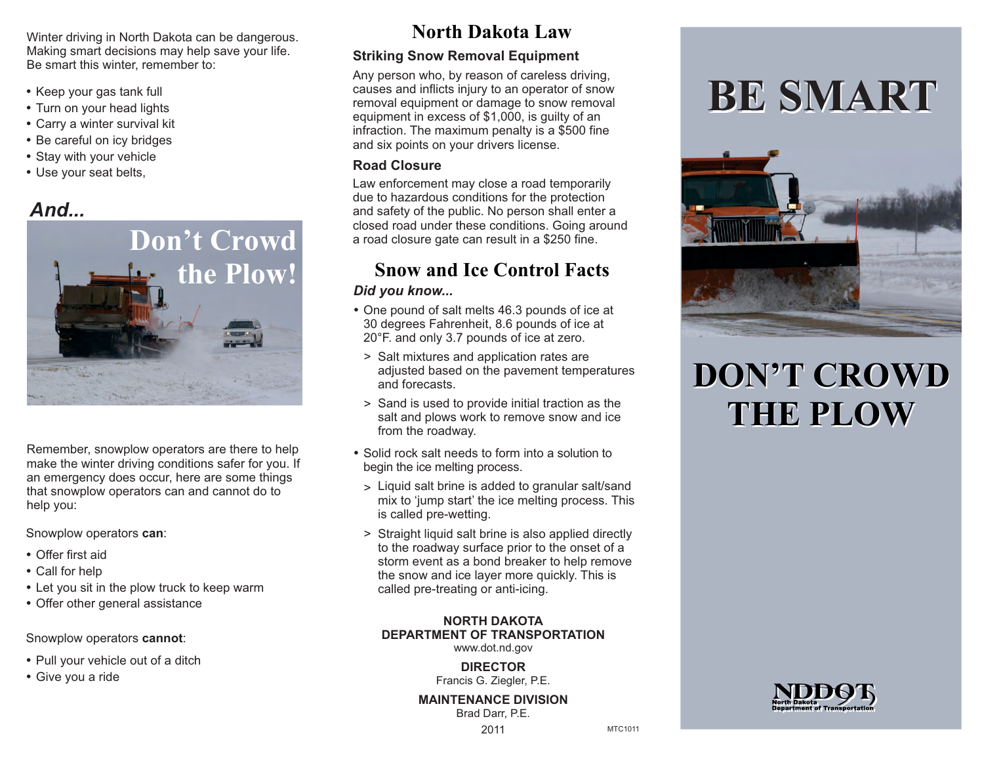Winter driving in North Dakota can be dangerous. Making smart decisions may help save your life. Be smart this winter, remember to:

- Keep your gas tank full
- Turn on your head lights
- Carry a winter survival kit
- Be careful on icy bridges
- Stay with your vehicle
- Use your seat belts,

## *And...*



Remember, snowplow operators are there to help make the winter driving conditions safer for you. If an emergency does occur, here are some things that snowplow operators can and cannot do to help you:

Snowplow operators **can**:

- Offer first aid
- Call for help
- Let you sit in the plow truck to keep warm
- Offer other general assistance

Snowplow operators **cannot**:

- Pull your vehicle out of a ditch
- Give you a ride

## **North Dakota Law**

### **Striking Snow Removal Equipment**

Any person who, by reason of careless driving, causes and inflicts injury to an operator of snow removal equipment or damage to snow removal equipment in excess of \$1,000, is guilty of an infraction. The maximum penalty is a \$500 fine and six points on your drivers license.

#### **Road Closure**

Law enforcement may close a road temporarily due to hazardous conditions for the protection and safety of the public. No person shall enter a closed road under these conditions. Going around a road closure gate can result in a \$250 fine.

## **the Plow! Snow and Ice Control Facts**

### *Did you know...*

- One pound of salt melts 46.3 pounds of ice at 30 degrees Fahrenheit, 8.6 pounds of ice at 20°F. and only 3.7 pounds of ice at zero.
	- > Salt mixtures and application rates are adjusted based on the pavement temperatures and forecasts.
	- > Sand is used to provide initial traction as the salt and plows work to remove snow and ice from the roadway.
- Solid rock salt needs to form into a solution to begin the ice melting process.
	- Liquid salt brine is added to granular salt/sand > mix to 'jump start' the ice melting process. This is called pre-wetting.
	- > Straight liquid salt brine is also applied directly to the roadway surface prior to the onset of a storm event as a bond breaker to help remove the snow and ice layer more quickly. This is called pre-treating or anti-icing.

### **NORTH DAKOTA DEPARTMENT OF TRANSPORTATION**

www.dot.nd.gov

**DIRECTOR** Francis G. Ziegler, P.E.

**MAINTENANCE DIVISION** Brad Darr, P.E.

### 2011

MTC1011

# **BE SMART**



## **DON'T CROWD DON'T CROWD THE PLOW THE PLOW**